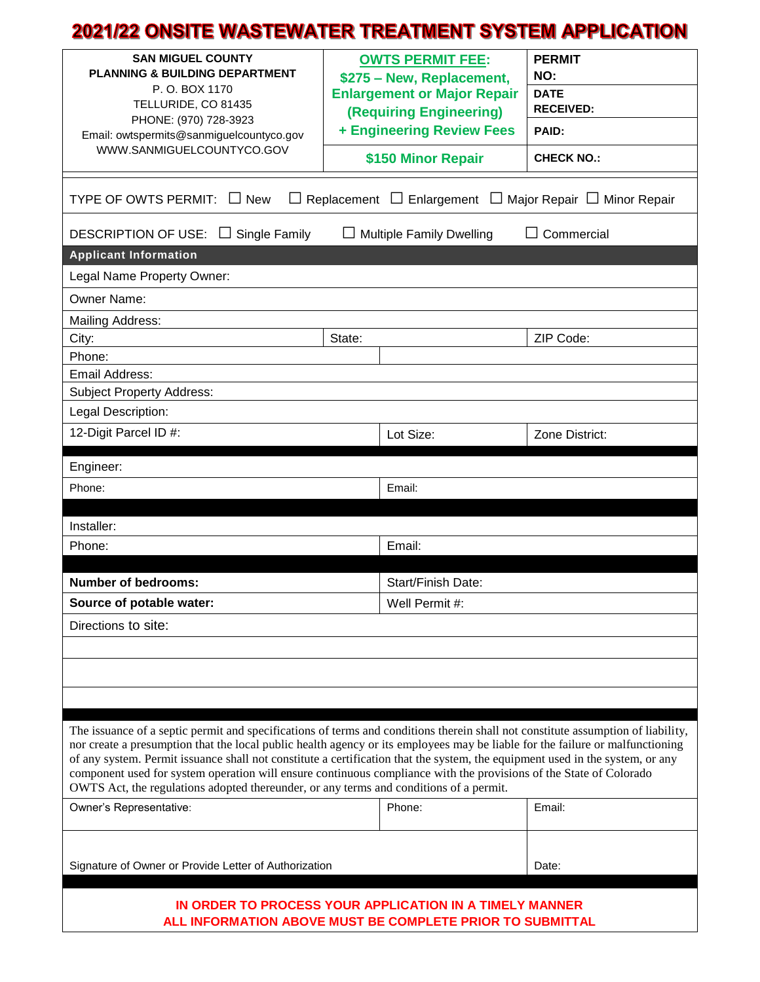## 2021/22 ONSITE WASTEWATER TREATMENT SYSTEM APPLICATION

| <b>SAN MIGUEL COUNTY</b><br><b>PLANNING &amp; BUILDING DEPARTMENT</b><br>P.O. BOX 1170<br>TELLURIDE, CO 81435<br>PHONE: (970) 728-3923<br>Email: owtspermits@sanmiguelcountyco.gov<br>WWW.SANMIGUELCOUNTYCO.GOV                                                                                                                                                                                                                                                                                                                                                                                                    |  | <b>OWTS PERMIT FEE:</b><br>\$275 - New, Replacement,<br><b>Enlargement or Major Repair</b><br><b>(Requiring Engineering)</b><br>+ Engineering Review Fees<br>\$150 Minor Repair | <b>PERMIT</b><br>NO:<br><b>DATE</b><br><b>RECEIVED:</b><br>PAID:<br><b>CHECK NO.:</b> |
|--------------------------------------------------------------------------------------------------------------------------------------------------------------------------------------------------------------------------------------------------------------------------------------------------------------------------------------------------------------------------------------------------------------------------------------------------------------------------------------------------------------------------------------------------------------------------------------------------------------------|--|---------------------------------------------------------------------------------------------------------------------------------------------------------------------------------|---------------------------------------------------------------------------------------|
| TYPE OF OWTS PERMIT:<br>Enlargement<br>$\Box$ Major Repair $\Box$ Minor Repair<br>$\Box$ New<br>Replacement<br>$\Box$                                                                                                                                                                                                                                                                                                                                                                                                                                                                                              |  |                                                                                                                                                                                 |                                                                                       |
| Commercial<br><b>DESCRIPTION OF USE:</b><br>$\Box$ Single Family<br><b>Multiple Family Dwelling</b>                                                                                                                                                                                                                                                                                                                                                                                                                                                                                                                |  |                                                                                                                                                                                 |                                                                                       |
| <b>Applicant Information</b>                                                                                                                                                                                                                                                                                                                                                                                                                                                                                                                                                                                       |  |                                                                                                                                                                                 |                                                                                       |
| Legal Name Property Owner:                                                                                                                                                                                                                                                                                                                                                                                                                                                                                                                                                                                         |  |                                                                                                                                                                                 |                                                                                       |
| Owner Name:                                                                                                                                                                                                                                                                                                                                                                                                                                                                                                                                                                                                        |  |                                                                                                                                                                                 |                                                                                       |
| Mailing Address:<br>State:                                                                                                                                                                                                                                                                                                                                                                                                                                                                                                                                                                                         |  |                                                                                                                                                                                 |                                                                                       |
| City:<br>Phone:                                                                                                                                                                                                                                                                                                                                                                                                                                                                                                                                                                                                    |  |                                                                                                                                                                                 | ZIP Code:                                                                             |
| Email Address:                                                                                                                                                                                                                                                                                                                                                                                                                                                                                                                                                                                                     |  |                                                                                                                                                                                 |                                                                                       |
| <b>Subject Property Address:</b>                                                                                                                                                                                                                                                                                                                                                                                                                                                                                                                                                                                   |  |                                                                                                                                                                                 |                                                                                       |
| Legal Description:                                                                                                                                                                                                                                                                                                                                                                                                                                                                                                                                                                                                 |  |                                                                                                                                                                                 |                                                                                       |
| 12-Digit Parcel ID #:                                                                                                                                                                                                                                                                                                                                                                                                                                                                                                                                                                                              |  | Lot Size:                                                                                                                                                                       | Zone District:                                                                        |
| Engineer:                                                                                                                                                                                                                                                                                                                                                                                                                                                                                                                                                                                                          |  |                                                                                                                                                                                 |                                                                                       |
| Phone:                                                                                                                                                                                                                                                                                                                                                                                                                                                                                                                                                                                                             |  | Email:                                                                                                                                                                          |                                                                                       |
| Installer:                                                                                                                                                                                                                                                                                                                                                                                                                                                                                                                                                                                                         |  |                                                                                                                                                                                 |                                                                                       |
| Phone:                                                                                                                                                                                                                                                                                                                                                                                                                                                                                                                                                                                                             |  | Email:                                                                                                                                                                          |                                                                                       |
|                                                                                                                                                                                                                                                                                                                                                                                                                                                                                                                                                                                                                    |  |                                                                                                                                                                                 |                                                                                       |
| <b>Number of bedrooms:</b>                                                                                                                                                                                                                                                                                                                                                                                                                                                                                                                                                                                         |  | Start/Finish Date:                                                                                                                                                              |                                                                                       |
| Source of potable water:                                                                                                                                                                                                                                                                                                                                                                                                                                                                                                                                                                                           |  | Well Permit #:                                                                                                                                                                  |                                                                                       |
| Directions to site:                                                                                                                                                                                                                                                                                                                                                                                                                                                                                                                                                                                                |  |                                                                                                                                                                                 |                                                                                       |
|                                                                                                                                                                                                                                                                                                                                                                                                                                                                                                                                                                                                                    |  |                                                                                                                                                                                 |                                                                                       |
|                                                                                                                                                                                                                                                                                                                                                                                                                                                                                                                                                                                                                    |  |                                                                                                                                                                                 |                                                                                       |
|                                                                                                                                                                                                                                                                                                                                                                                                                                                                                                                                                                                                                    |  |                                                                                                                                                                                 |                                                                                       |
| The issuance of a septic permit and specifications of terms and conditions therein shall not constitute assumption of liability,<br>nor create a presumption that the local public health agency or its employees may be liable for the failure or malfunctioning<br>of any system. Permit issuance shall not constitute a certification that the system, the equipment used in the system, or any<br>component used for system operation will ensure continuous compliance with the provisions of the State of Colorado<br>OWTS Act, the regulations adopted thereunder, or any terms and conditions of a permit. |  |                                                                                                                                                                                 |                                                                                       |
| Owner's Representative:                                                                                                                                                                                                                                                                                                                                                                                                                                                                                                                                                                                            |  | Phone:                                                                                                                                                                          | Email:                                                                                |
|                                                                                                                                                                                                                                                                                                                                                                                                                                                                                                                                                                                                                    |  |                                                                                                                                                                                 |                                                                                       |
| Signature of Owner or Provide Letter of Authorization                                                                                                                                                                                                                                                                                                                                                                                                                                                                                                                                                              |  |                                                                                                                                                                                 | Date:                                                                                 |
| IN ORDER TO PROCESS YOUR APPLICATION IN A TIMELY MANNER<br>ALL INFORMATION ABOVE MUST BE COMPLETE PRIOR TO SUBMITTAL                                                                                                                                                                                                                                                                                                                                                                                                                                                                                               |  |                                                                                                                                                                                 |                                                                                       |